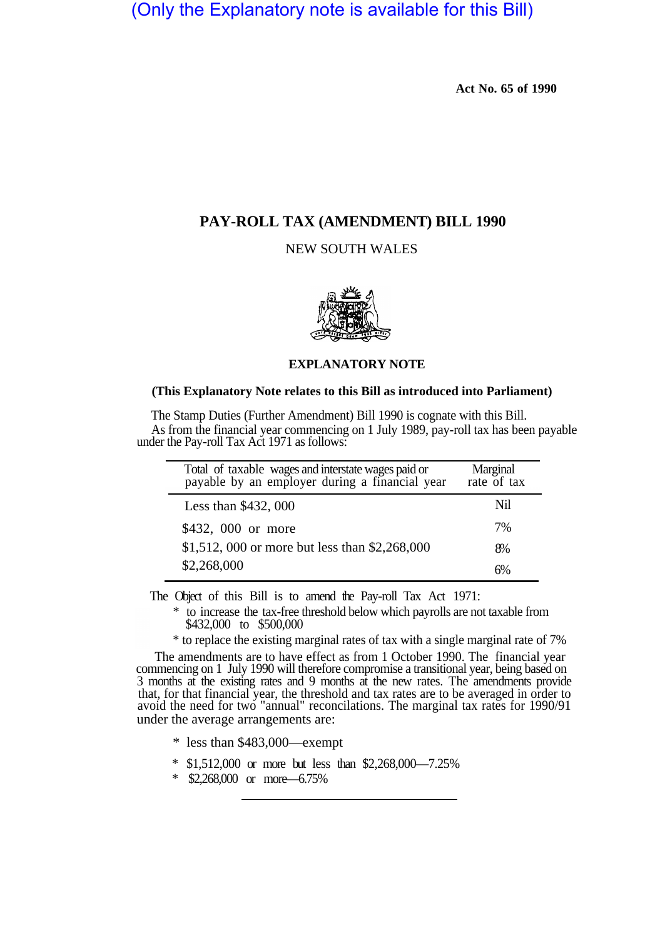(Only the Explanatory note is available for this Bill)

**Act No. 65 of 1990** 

## **PAY-ROLL TAX (AMENDMENT) BILL 1990**

NEW SOUTH WALES



## **EXPLANATORY NOTE**

## **(This Explanatory Note relates to this Bill as introduced into Parliament)**

The Stamp Duties (Further Amendment) Bill 1990 is cognate with this Bill. As from the financial year commencing on 1 July 1989, pay-roll tax has been payable under the Pay-roll Tax Act 1971 as follows:

| Total of taxable wages and interstate wages paid or<br>payable by an employer during a financial year | Marginal<br>rate of tax |
|-------------------------------------------------------------------------------------------------------|-------------------------|
| Less than \$432, 000                                                                                  | Nil                     |
| \$432, 000 or more                                                                                    | 7%                      |
| \$1,512, 000 or more but less than \$2,268,000                                                        | 8%                      |
| \$2,268,000                                                                                           | 6%                      |

The Object of this Bill is to amend the Pay-roll Tax Act 1971:

 $^{\ast}$  to increase the tax-free threshold below which payrolls are not taxable from  $\$432,000$  to  $\$500,000$ 

\* to replace the existing marginal rates of tax with a single marginal rate of 7%

The amendments are to have effect as from 1 October 1990. The financial year commencing on 1 July 1990 will therefore compromise a transitional year, being based on 3 months at the existing rates and 9 months at the new rates. The amendments provide that, for that financial year, the threshold and tax rates are to be averaged in order to avoid the need for two "annual" reconcilations. The marginal tax rates for 1990/91 under the average arrangements are:

- \* less than \$483,000—exempt
- \* \$1,512,000 or more but less than \$2,268,000—7.25%
- \* \$2,268,000 or more—6.75%